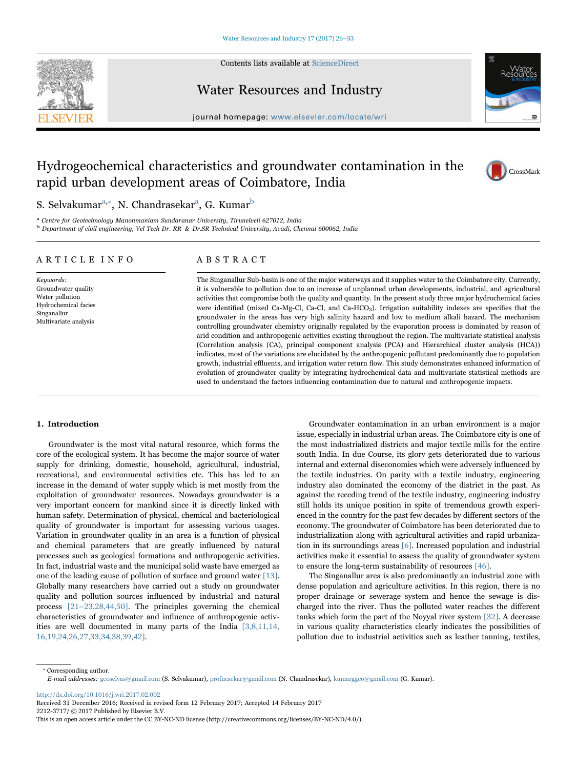

Contents lists available at [ScienceDirect](http://www.sciencedirect.com/science/journal/22123717)

## Water Resources and Industry



journal homepage: [www.elsevier.com/locate/wri](http://www.elsevier.com/locate/wri)

# Hydrogeochemical characteristics and groundwater contamination in the rapid urban development areas of Coimbatore, India



## S. Selvakumar $^{\mathrm{a},*}$ [, N. Chandrasekar](#page-0-1) $^{\mathrm{a}}$ [, G. Kumar](#page-0-0) $^{\mathrm{b}}$  $^{\mathrm{b}}$  $^{\mathrm{b}}$

<span id="page-0-2"></span><span id="page-0-0"></span><sup>a</sup> Centre for Geotechnology Manonmaniam Sundaranar University, Tirunelveli 627012, India <sup>b</sup> Department of civil engineering, Vel Tech Dr. RR & Dr.SR Technical University, Avadi, Chennai 600062, India

## ARTICLE INFO

Keywords: Groundwater quality Water pollution Hydrochemical facies Singanallur Multivariate analysis

## ABSTRACT

The Singanallur Sub-basin is one of the major waterways and it supplies water to the Coimbatore city. Currently, it is vulnerable to pollution due to an increase of unplanned urban developments, industrial, and agricultural activities that compromise both the quality and quantity. In the present study three major hydrochemical facies were identified (mixed Ca-Mg-Cl, Ca-Cl, and Ca-HCO<sub>3</sub>). Irrigation suitability indexes are specifies that the groundwater in the areas has very high salinity hazard and low to medium alkali hazard. The mechanism controlling groundwater chemistry originally regulated by the evaporation process is dominated by reason of arid condition and anthropogenic activities existing throughout the region. The multivariate statistical analysis (Correlation analysis (CA), principal component analysis (PCA) and Hierarchical cluster analysis (HCA)) indicates, most of the variations are elucidated by the anthropogenic pollutant predominantly due to population growth, industrial effluents, and irrigation water return flow. This study demonstrates enhanced information of evolution of groundwater quality by integrating hydrochemical data and multivariate statistical methods are used to understand the factors influencing contamination due to natural and anthropogenic impacts.

#### 1. Introduction

Groundwater is the most vital natural resource, which forms the core of the ecological system. It has become the major source of water supply for drinking, domestic, household, agricultural, industrial, recreational, and environmental activities etc. This has led to an increase in the demand of water supply which is met mostly from the exploitation of groundwater resources. Nowadays groundwater is a very important concern for mankind since it is directly linked with human safety. Determination of physical, chemical and bacteriological quality of groundwater is important for assessing various usages. Variation in groundwater quality in an area is a function of physical and chemical parameters that are greatly influenced by natural processes such as geological formations and anthropogenic activities. In fact, industrial waste and the municipal solid waste have emerged as one of the leading cause of pollution of surface and ground water [\[13\].](#page-6-0) Globally many researchers have carried out a study on groundwater quality and pollution sources influenced by industrial and natural process [\[21](#page-6-1)–[23,28,44,](#page-7-0)[50\]](#page-7-1). The principles governing the chemical characteristics of groundwater and influence of anthropogenic activities are well documented in many parts of the India [\[3,8,11,14,](#page-6-2) [16,19,24,26,27,33,34,38,39](#page-6-2)[,42](#page-7-2)[\].](#page-7-3)

Groundwater contamination in an urban environment is a major issue, especially in industrial urban areas. The Coimbatore city is one of the most industrialized districts and major textile mills for the entire south India. In due Course, its glory gets deteriorated due to various internal and external diseconomies which were adversely influenced by the textile industries. On parity with a textile industry, engineering industry also dominated the economy of the district in the past. As against the receding trend of the textile industry, engineering industry still holds its unique position in spite of tremendous growth experienced in the country for the past few decades by different sectors of the economy. The groundwater of Coimbatore has been deteriorated due to industrialization along with agricultural activities and rapid urbanization in its surroundings areas [\[6\]](#page-6-3). Increased population and industrial activities make it essential to assess the quality of groundwater system to ensure the long-term sustainability of resources [\[46\]](#page-7-4).

The Singanallur area is also predominantly an industrial zone with dense population and agriculture activities. In this region, there is no proper drainage or sewerage system and hence the sewage is discharged into the river. Thus the polluted water reaches the different tanks which form the part of the Noyyal river system [\[32\]](#page-7-5). A decrease in various quality characteristics clearly indicates the possibilities of pollution due to industrial activities such as leather tanning, textiles,

<span id="page-0-1"></span>⁎ Corresponding author. E-mail addresses: geoselvas@gmail.com (S. Selvakumar), profncsekar@gmail.com (N. Chandrasekar), kumarggeo@gmail.com (G. Kumar).

<http://dx.doi.org/10.1016/j.wri.2017.02.002>

Received 31 December 2016; Received in revised form 12 February 2017; Accepted 14 February 2017 2212-3717/ © 2017 Published by Elsevier B.V.

This is an open access article under the CC BY-NC-ND license (http://creativecommons.org/licenses/BY-NC-ND/4.0/).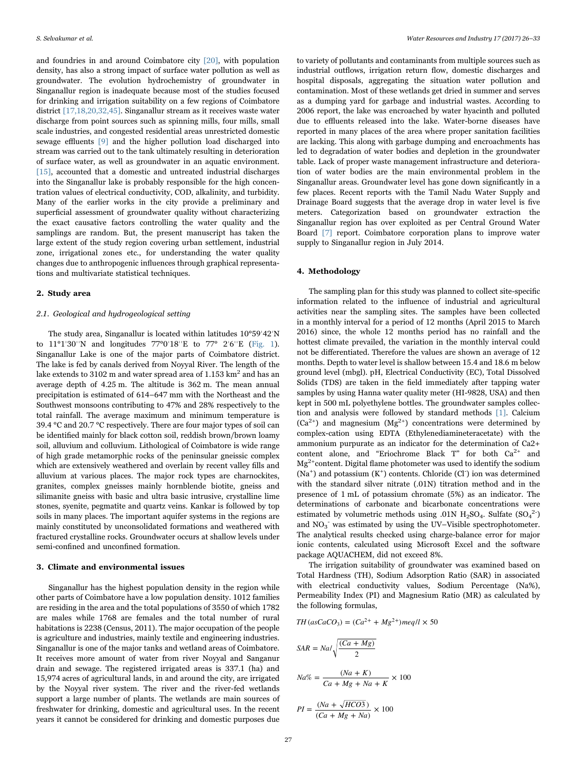and foundries in and around Coimbatore city [\[20\]](#page-6-4), with population density, has also a strong impact of surface water pollution as well as groundwater. The evolution hydrochemistry of groundwater in Singanallur region is inadequate because most of the studies focused for drinking and irrigation suitability on a few regions of Coimbatore district [\[17,18,20,32,45\]](#page-6-5). Singanallur stream as it receives waste water discharge from point sources such as spinning mills, four mills, small scale industries, and congested residential areas unrestricted domestic sewage effluents [\[9\]](#page-6-6) and the higher pollution load discharged into stream was carried out to the tank ultimately resulting in deterioration of surface water, as well as groundwater in an aquatic environment. [\[15\],](#page-6-7) accounted that a domestic and untreated industrial discharges into the Singanallur lake is probably responsible for the high concentration values of electrical conductivity, COD, alkalinity, and turbidity. Many of the earlier works in the city provide a preliminary and superficial assessment of groundwater quality without characterizing the exact causative factors controlling the water quality and the samplings are random. But, the present manuscript has taken the large extent of the study region covering urban settlement, industrial zone, irrigational zones etc., for understanding the water quality changes due to anthropogenic influences through graphical representations and multivariate statistical techniques.

### 2. Study area

#### 2.1. Geological and hydrogeological setting

The study area, Singanallur is located within latitudes 10°59ˈ42ˈN to 11°1ˈ30ˈˈN and longitudes 77°0ˈ18ˈˈE to 77° 2ˈ6ˈˈE ([Fig. 1\)](#page-2-0). Singanallur Lake is one of the major parts of Coimbatore district. The lake is fed by canals derived from Noyyal River. The length of the lake extends to 3102 m and water spread area of  $1.153 \text{ km}^2$  and has an average depth of 4.25 m. The altitude is 362 m. The mean annual precipitation is estimated of 614–647 mm with the Northeast and the Southwest monsoons contributing to 47% and 28% respectively to the total rainfall. The average maximum and minimum temperature is 39.4 °C and 20.7 °C respectively. There are four major types of soil can be identified mainly for black cotton soil, reddish brown/brown loamy soil, alluvium and colluvium. Lithological of Coimbatore is wide range of high grade metamorphic rocks of the peninsular gneissic complex which are extensively weathered and overlain by recent valley fills and alluvium at various places. The major rock types are charnockites, granites, complex gneisses mainly hornblende biotite, gneiss and silimanite gneiss with basic and ultra basic intrusive, crystalline lime stones, syenite, pegmatite and quartz veins. Kankar is followed by top soils in many places. The important aquifer systems in the regions are mainly constituted by unconsolidated formations and weathered with fractured crystalline rocks. Groundwater occurs at shallow levels under semi-confined and unconfined formation.

#### 3. Climate and environmental issues

Singanallur has the highest population density in the region while other parts of Coimbatore have a low population density. 1012 families are residing in the area and the total populations of 3550 of which 1782 are males while 1768 are females and the total number of rural habitations is 2238 (Census, 2011). The major occupation of the people is agriculture and industries, mainly textile and engineering industries. Singanallur is one of the major tanks and wetland areas of Coimbatore. It receives more amount of water from river Noyyal and Sanganur drain and sewage. The registered irrigated areas is 337.1 (ha) and 15,974 acres of agricultural lands, in and around the city, are irrigated by the Noyyal river system. The river and the river-fed wetlands support a large number of plants. The wetlands are main sources of freshwater for drinking, domestic and agricultural uses. In the recent years it cannot be considered for drinking and domestic purposes due

to variety of pollutants and contaminants from multiple sources such as industrial outflows, irrigation return flow, domestic discharges and hospital disposals, aggregating the situation water pollution and contamination. Most of these wetlands get dried in summer and serves as a dumping yard for garbage and industrial wastes. According to 2006 report, the lake was encroached by water hyacinth and polluted due to effluents released into the lake. Water-borne diseases have reported in many places of the area where proper sanitation facilities are lacking. This along with garbage dumping and encroachments has led to degradation of water bodies and depletion in the groundwater table. Lack of proper waste management infrastructure and deterioration of water bodies are the main environmental problem in the Singanallur areas. Groundwater level has gone down significantly in a few places. Recent reports with the Tamil Nadu Water Supply and Drainage Board suggests that the average drop in water level is five meters. Categorization based on groundwater extraction the Singanallur region has over exploited as per Central Ground Water Board [\[7\]](#page-6-8) report. Coimbatore corporation plans to improve water supply to Singanallur region in July 2014.

#### 4. Methodology

The sampling plan for this study was planned to collect site-specific information related to the influence of industrial and agricultural activities near the sampling sites. The samples have been collected in a monthly interval for a period of 12 months (April 2015 to March 2016) since, the whole 12 months period has no rainfall and the hottest climate prevailed, the variation in the monthly interval could not be differentiated. Therefore the values are shown an average of 12 months. Depth to water level is shallow between 15.4 and 18.6 m below ground level (mbgl). pH, Electrical Conductivity (EC), Total Dissolved Solids (TDS) are taken in the field immediately after tapping water samples by using Hanna water quality meter (HI-9828, USA) and then kept in 500 mL polyethylene bottles. The groundwater samples collection and analysis were followed by standard methods [\[1\]](#page-6-9). Calcium  $(Ca^{2+})$  and magnesium  $(Mg^{2+})$  concentrations were determined by complex-cation using EDTA (Ethylenediamineteracetate) with the ammonium purpurate as an indicator for the determination of Ca2+ content alone, and "Eriochrome Black T" for both Ca<sup>2+</sup> and  $Mg^{2+}$ content. Digital flame photometer was used to identify the sodium (Na<sup>+</sup>) and potassium (K<sup>+</sup>) contents. Chloride (Cl<sup>-</sup>) ion was determined with the standard silver nitrate (.01N) titration method and in the presence of 1 mL of potassium chromate (5%) as an indicator. The determinations of carbonate and bicarbonate concentrations were estimated by volumetric methods using .01N H<sub>2</sub>SO<sub>4</sub>. Sulfate  $(SO<sub>4</sub><sup>2</sup>)$ and NO<sub>3</sub><sup>-</sup> was estimated by using the UV-Visible spectrophotometer. The analytical results checked using charge-balance error for major ionic contents, calculated using Microsoft Excel and the software package AQUACHEM, did not exceed 8%.

The irrigation suitability of groundwater was examined based on Total Hardness (TH), Sodium Adsorption Ratio (SAR) in associated with electrical conductivity values, Sodium Percentage (Na%), Permeability Index (PI) and Magnesium Ratio (MR) as calculated by the following formulas,

$$
TH (asCaCO3) = (Ca2+ + Mg2+)meq/l \times 50
$$

$$
SAR = Na/\sqrt{\frac{(Ca + Mg)}{2}}
$$

$$
Na\% = \frac{(Na + K)}{Ca + Mg + Na + K} \times 100
$$

$$
PI = \frac{(Na + \sqrt{HCO3})}{(Ca + Mg + Na)} \times 100
$$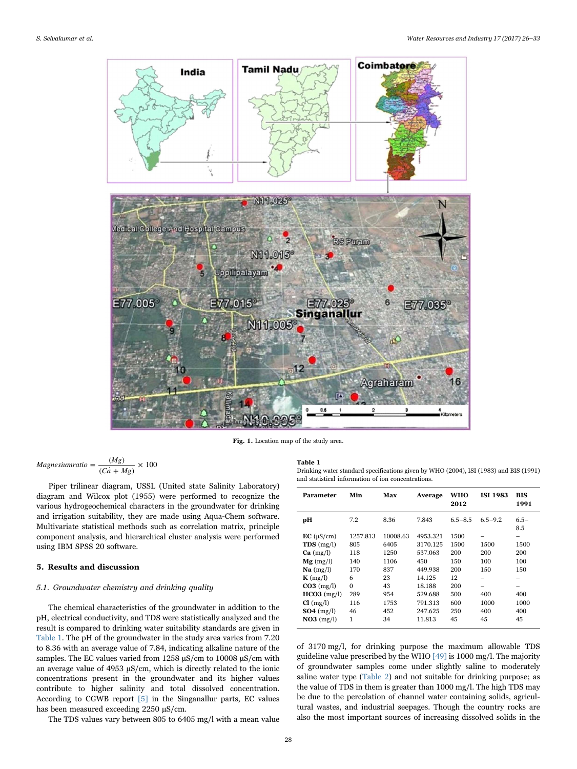<span id="page-2-0"></span>

Fig. 1. Location map of the study area.

$$
Magnesium ratio = \frac{(Mg)}{(Ca + Mg)} \times 100
$$

Piper trilinear diagram, USSL (United state Salinity Laboratory) diagram and Wilcox plot (1955) were performed to recognize the various hydrogeochemical characters in the groundwater for drinking and irrigation suitability, they are made using Aqua-Chem software. Multivariate statistical methods such as correlation matrix, principle component analysis, and hierarchical cluster analysis were performed using IBM SPSS 20 software.

### 5. Results and discussion

## 5.1. Groundwater chemistry and drinking quality

The chemical characteristics of the groundwater in addition to the pH, electrical conductivity, and TDS were statistically analyzed and the result is compared to drinking water suitability standards are given in [Table 1](#page-2-1). The pH of the groundwater in the study area varies from 7.20 to 8.36 with an average value of 7.84, indicating alkaline nature of the samples. The EC values varied from 1258  $\mu$ S/cm to 10008  $\mu$ S/cm with an average value of 4953  $\mu$ S/cm, which is directly related to the ionic concentrations present in the groundwater and its higher values contribute to higher salinity and total dissolved concentration. According to CGWB report [\[5\]](#page-6-10) in the Singanallur parts, EC values has been measured exceeding 2250 µS/cm.

The TDS values vary between 805 to 6405 mg/l with a mean value

#### <span id="page-2-1"></span>Table 1

Drinking water standard specifications given by WHO (2004), ISI (1983) and BIS (1991) and statistical information of ion concentrations.

| Parameter                       | Min      | Max      | Average  | WHO<br>2012 | <b>ISI 1983</b>    | BIS<br>1991   |
|---------------------------------|----------|----------|----------|-------------|--------------------|---------------|
| pН                              | 7.2      | 8.36     | 7.843    | $6.5 - 8.5$ | $6.5 - 9.2$        | $6.5-$<br>8.5 |
| $EC$ ( $\mu$ S/cm)              | 1257.813 | 10008.63 | 4953.321 | 1500        |                    |               |
| TDS(mg/l)                       | 805      | 6405     | 3170.125 | 1500        | 1500<br>200<br>100 | 1500          |
| Ca (mg/l)                       | 118      | 1250     | 537.063  | 200<br>150  |                    | 200           |
| $Mg$ (mg/l)                     | 140      | 1106     | 450      |             |                    | 100           |
| $\mathrm{Na}$ (mg/l)            | 170      | 837      | 449.938  | 200         | 150                | 150           |
| $K \left( \frac{mg}{l} \right)$ | 6        | 23       | 14.125   | 12          |                    |               |
| $CO3$ (mg/l)                    | $\theta$ | 43       | 18.188   | 200         |                    |               |
| $HCO3$ (mg/l)                   | 289      | 954      | 529.688  | 500         | 400                | 400           |
| Cl (mg/l)                       | 116      | 1753     | 791.313  | 600         | 1000               | 1000          |
| $SO4 \ (mg/l)$                  | 46       | 452      | 247.625  | 250         | 400                | 400           |
| $NO3$ (mg/l)                    | 1        | 34       | 11.813   | 45          | 45                 | 45            |

of 3170 mg/l, for drinking purpose the maximum allowable TDS guideline value prescribed by the WHO  $[49]$  is 1000 mg/l. The majority of groundwater samples come under slightly saline to moderately saline water type [\(Table 2](#page-3-0)) and not suitable for drinking purpose; as the value of TDS in them is greater than 1000 mg/l. The high TDS may be due to the percolation of channel water containing solids, agricultural wastes, and industrial seepages. Though the country rocks are also the most important sources of increasing dissolved solids in the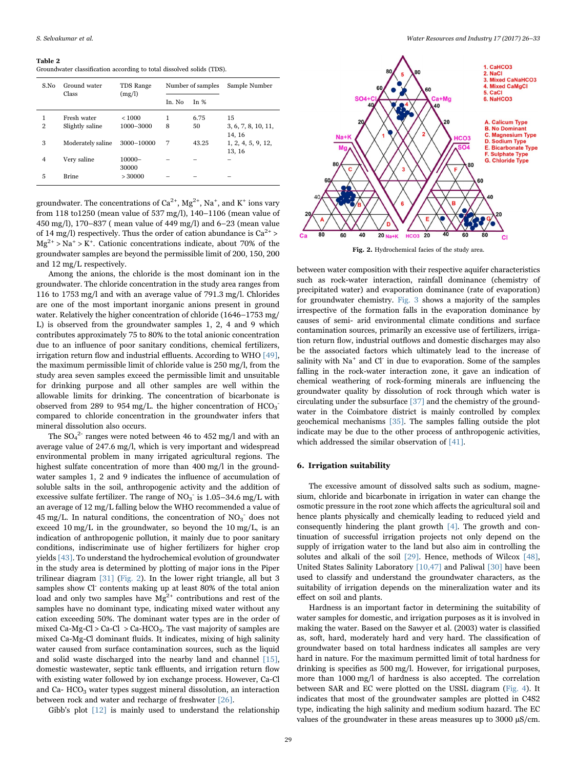#### <span id="page-3-0"></span>Table 2

Groundwater classification according to total dissolved solids (TDS).

| S.No                | Ground water<br>Class          | TDS Range                 |         | Number of samples | Sample Number                       |
|---------------------|--------------------------------|---------------------------|---------|-------------------|-------------------------------------|
|                     |                                | (mg/l)                    | In. No. | In $%$            |                                     |
| 1<br>$\overline{2}$ | Fresh water<br>Slightly saline | ${}_{<}1000$<br>1000-3000 | 1<br>8  | 6.75<br>50        | 15<br>3, 6, 7, 8, 10, 11,<br>14, 16 |
| 3                   | Moderately saline              | 3000-10000                | 7       | 43.25             | 1, 2, 4, 5, 9, 12,<br>13, 16        |
| 4                   | Very saline                    | $10000 -$<br>30000        |         |                   |                                     |
| 5                   | <b>Brine</b>                   | >30000                    |         |                   |                                     |

groundwater. The concentrations of Ca $^{2+}$ , Mg $^{2+}$ , Na $^+$ , and K $^+$  ions vary from 118 to1250 (mean value of 537 mg/l), 140–1106 (mean value of 450 mg/l), 170–837 ( mean value of 449 mg/l) and 6–23 (mean value of 14 mg/l) respectively. Thus the order of cation abundance is  $Ca^{2+}$  >  $Mg^{2+} > Na^+ > K^+$ . Cationic concentrations indicate, about 70% of the groundwater samples are beyond the permissible limit of 200, 150, 200 and 12 mg/L respectively.

Among the anions, the chloride is the most dominant ion in the groundwater. The chloride concentration in the study area ranges from 116 to 1753 mg/l and with an average value of 791.3 mg/l. Chlorides are one of the most important inorganic anions present in ground water. Relatively the higher concentration of chloride (1646–1753 mg/ L) is observed from the groundwater samples 1, 2, 4 and 9 which contributes approximately 75 to 80% to the total anionic concentration due to an influence of poor sanitary conditions, chemical fertilizers, irrigation return flow and industrial effluents. According to WHO [\[49\],](#page-7-6) the maximum permissible limit of chloride value is 250 mg/l, from the study area seven samples exceed the permissible limit and unsuitable for drinking purpose and all other samples are well within the allowable limits for drinking. The concentration of bicarbonate is observed from 289 to 954 mg/L. the higher concentration of  $HCO<sub>3</sub>$ <sup>-</sup> compared to chloride concentration in the groundwater infers that mineral dissolution also occurs.

The  $SO_4^2$  ranges were noted between 46 to 452 mg/l and with an average value of 247.6 mg/l, which is very important and widespread environmental problem in many irrigated agricultural regions. The highest sulfate concentration of more than 400 mg/l in the groundwater samples 1, 2 and 9 indicates the influence of accumulation of soluble salts in the soil, anthropogenic activity and the addition of excessive sulfate fertilizer. The range of  $NO<sub>3</sub>$  is 1.05–34.6 mg/L with an average of 12 mg/L falling below the WHO recommended a value of 45 mg/L. In natural conditions, the concentration of  $NO<sub>3</sub>^-$  does not exceed  $10 \text{ mg/L}$  in the groundwater, so beyond the  $10 \text{ mg/L}$ , is an indication of anthropogenic pollution, it mainly due to poor sanitary conditions, indiscriminate use of higher fertilizers for higher crop yields [\[43\].](#page-7-7) To understand the hydrochemical evolution of groundwater in the study area is determined by plotting of major ions in the Piper trilinear diagram [\[31\]](#page-7-8) [\(Fig. 2](#page-3-1)). In the lower right triangle, all but 3 samples show Cl<sup>-</sup> contents making up at least 80% of the total anion load and only two samples have  $Mg^{2+}$  contributions and rest of the samples have no dominant type, indicating mixed water without any cation exceeding 50%. The dominant water types are in the order of mixed Ca-Mg-Cl > Ca-Cl > Ca-HCO<sub>3</sub>. The vast majority of samples are mixed Ca-Mg-Cl dominant fluids. It indicates, mixing of high salinity water caused from surface contamination sources, such as the liquid and solid waste discharged into the nearby land and channel [\[15\],](#page-6-7) domestic wastewater, septic tank effluents, and irrigation return flow with existing water followed by ion exchange process. However, Ca-Cl and Ca-  $HCO<sub>3</sub>$  water types suggest mineral dissolution, an interaction between rock and water and recharge of freshwater [\[26\].](#page-7-9)

Gibb's plot [\[12\]](#page-6-11) is mainly used to understand the relationship

<span id="page-3-1"></span>

Fig. 2. Hydrochemical facies of the study area.

between water composition with their respective aquifer characteristics such as rock-water interaction, rainfall dominance (chemistry of precipitated water) and evaporation dominance (rate of evaporation) for groundwater chemistry. [Fig. 3](#page-4-0) shows a majority of the samples irrespective of the formation falls in the evaporation dominance by causes of semi- arid environmental climate conditions and surface contamination sources, primarily an excessive use of fertilizers, irrigation return flow, industrial outflows and domestic discharges may also be the associated factors which ultimately lead to the increase of salinity with  $Na^+$  and  $Cl^-$  in due to evaporation. Some of the samples falling in the rock-water interaction zone, it gave an indication of chemical weathering of rock-forming minerals are influencing the groundwater quality by dissolution of rock through which water is circulating under the subsurface [\[37\]](#page-7-10) and the chemistry of the groundwater in the Coimbatore district is mainly controlled by complex geochemical mechanisms [\[35\].](#page-7-11) The samples falling outside the plot indicate may be due to the other process of anthropogenic activities, which addressed the similar observation of [\[41\]](#page-7-12).

#### 6. Irrigation suitability

The excessive amount of dissolved salts such as sodium, magnesium, chloride and bicarbonate in irrigation in water can change the osmotic pressure in the root zone which affects the agricultural soil and hence plants physically and chemically leading to reduced yield and consequently hindering the plant growth [\[4\]](#page-6-12). The growth and continuation of successful irrigation projects not only depend on the supply of irrigation water to the land but also aim in controlling the solutes and alkali of the soil [\[29\].](#page-7-13) Hence, methods of Wilcox [\[48\]](#page-7-14), United States Salinity Laboratory [\[10,47\]](#page-6-13) and Paliwal [\[30\]](#page-7-15) have been used to classify and understand the groundwater characters, as the suitability of irrigation depends on the mineralization water and its effect on soil and plants.

Hardness is an important factor in determining the suitability of water samples for domestic, and irrigation purposes as it is involved in making the water. Based on the Sawyer et al. (2003) water is classified as, soft, hard, moderately hard and very hard. The classification of groundwater based on total hardness indicates all samples are very hard in nature. For the maximum permitted limit of total hardness for drinking is specifies as 500 mg/l. However, for irrigational purposes, more than 1000 mg/l of hardness is also accepted. The correlation between SAR and EC were plotted on the USSL diagram [\(Fig. 4](#page-4-1)). It indicates that most of the groundwater samples are plotted in C4S2 type, indicating the high salinity and medium sodium hazard. The EC values of the groundwater in these areas measures up to  $3000 \mu S/cm$ .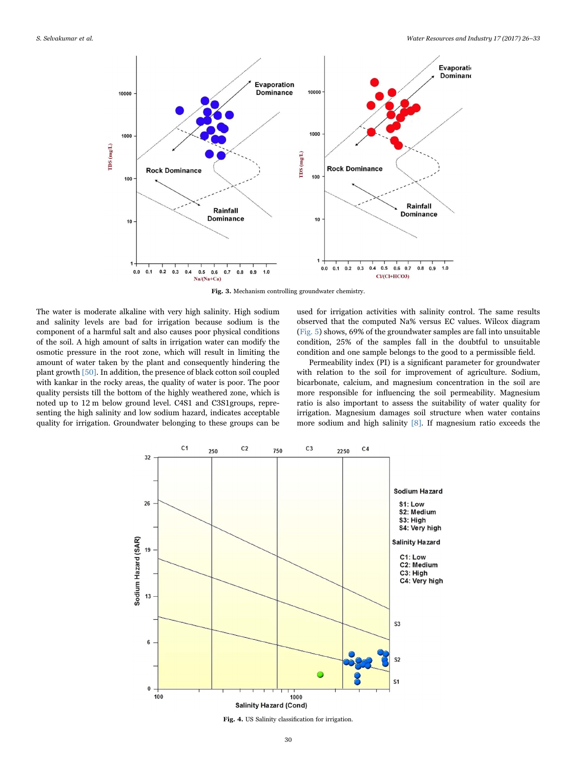<span id="page-4-0"></span>

Fig. 3. Mechanism controlling groundwater chemistry.

The water is moderate alkaline with very high salinity. High sodium and salinity levels are bad for irrigation because sodium is the component of a harmful salt and also causes poor physical conditions of the soil. A high amount of salts in irrigation water can modify the osmotic pressure in the root zone, which will result in limiting the amount of water taken by the plant and consequently hindering the plant growth [\[50\].](#page-7-1) In addition, the presence of black cotton soil coupled with kankar in the rocky areas, the quality of water is poor. The poor quality persists till the bottom of the highly weathered zone, which is noted up to 12 m below ground level. C4S1 and C3S1groups, representing the high salinity and low sodium hazard, indicates acceptable quality for irrigation. Groundwater belonging to these groups can be used for irrigation activities with salinity control. The same results observed that the computed Na% versus EC values. Wilcox diagram ([Fig. 5](#page-5-0)) shows, 69% of the groundwater samples are fall into unsuitable condition, 25% of the samples fall in the doubtful to unsuitable condition and one sample belongs to the good to a permissible field.

Permeability index (PI) is a significant parameter for groundwater with relation to the soil for improvement of agriculture. Sodium, bicarbonate, calcium, and magnesium concentration in the soil are more responsible for influencing the soil permeability. Magnesium ratio is also important to assess the suitability of water quality for irrigation. Magnesium damages soil structure when water contains more sodium and high salinity [\[8\]](#page-6-14). If magnesium ratio exceeds the

<span id="page-4-1"></span>

Fig. 4. US Salinity classification for irrigation.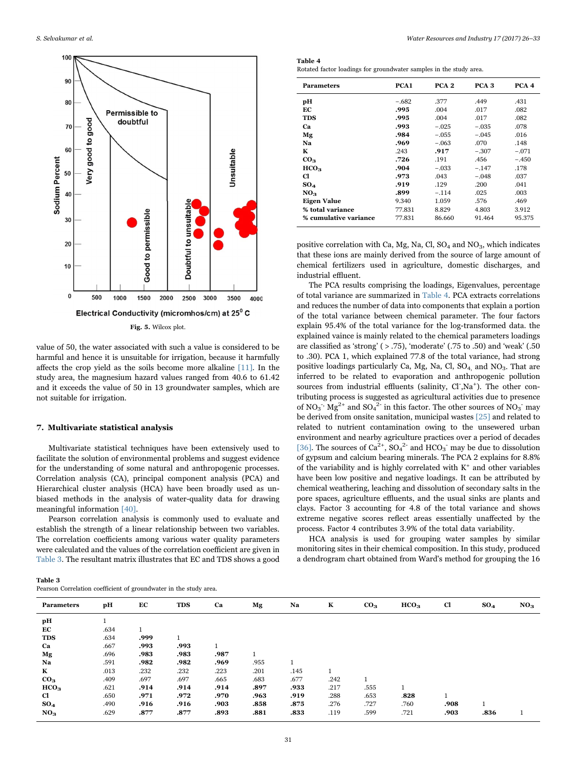<span id="page-5-0"></span>

value of 50, the water associated with such a value is considered to be harmful and hence it is unsuitable for irrigation, because it harmfully affects the crop yield as the soils become more alkaline [\[11\].](#page-6-15) In the study area, the magnesium hazard values ranged from 40.6 to 61.42 and it exceeds the value of 50 in 13 groundwater samples, which are not suitable for irrigation.

#### 7. Multivariate statistical analysis

Multivariate statistical techniques have been extensively used to facilitate the solution of environmental problems and suggest evidence for the understanding of some natural and anthropogenic processes. Correlation analysis (CA), principal component analysis (PCA) and Hierarchical cluster analysis (HCA) have been broadly used as unbiased methods in the analysis of water-quality data for drawing meaningful information [\[40\]](#page-7-16).

Pearson correlation analysis is commonly used to evaluate and establish the strength of a linear relationship between two variables. The correlation coefficients among various water quality parameters were calculated and the values of the correlation coefficient are given in [Table 3.](#page-5-1) The resultant matrix illustrates that EC and TDS shows a good

<span id="page-5-2"></span>Table 4 Rotated factor loadings for groundwater samples in the study area.

| <b>Parameters</b>     | PCA <sub>1</sub> | PCA <sub>2</sub> | PCA <sub>3</sub> | PCA <sub>4</sub> |
|-----------------------|------------------|------------------|------------------|------------------|
| pН                    | $-.682$          | .377             | .449             | .431             |
| EС                    | .995             | .004             | .017             | .082             |
| <b>TDS</b>            | .995             | .004             | .017             | .082             |
| Ca                    | .993             | $-.025$          | $-.035$          | .078             |
| Mg                    | .984             | $-.055$          | $-.045$          | .016             |
| Nа                    | .969             | $-.063$          | .070             | .148             |
| К                     | .243             | .917             | $-.307$          | $-.071$          |
| CO <sub>3</sub>       | .726             | .191             | .456             | $-.450$          |
| HCO <sub>3</sub>      | .904             | $-.033$          | $-.147$          | .178             |
| Cl                    | .973             | .043             | $-.048$          | .037             |
| $SO_4$                | .919             | .129             | .200             | .041             |
| NO <sub>3</sub>       | .899             | $-.114$          | .025             | .003             |
| <b>Eigen Value</b>    | 9.340            | 1.059            | .576             | .469             |
| % total variance      | 77.831           | 8.829            | 4.803            | 3.912            |
| % cumulative variance | 77.831           | 86.660           | 91.464           | 95.375           |

positive correlation with Ca, Mg, Na, Cl,  $SO_4$  and  $NO_3$ , which indicates that these ions are mainly derived from the source of large amount of chemical fertilizers used in agriculture, domestic discharges, and industrial effluent.

The PCA results comprising the loadings, Eigenvalues, percentage of total variance are summarized in [Table 4.](#page-5-2) PCA extracts correlations and reduces the number of data into components that explain a portion of the total variance between chemical parameter. The four factors explain 95.4% of the total variance for the log-transformed data. the explained vaince is mainly related to the chemical parameters loadings are classified as 'strong' ( $> .75$ ), 'moderate' (.75 to .50) and 'weak' (.50) to .30). PCA 1, which explained 77.8 of the total variance, had strong positive loadings particularly Ca, Mg, Na, Cl,  $SO_4$  and  $NO_3$ . That are inferred to be related to evaporation and anthropogenic pollution sources from industrial effluents (salinity, Cl-,Na<sup>+</sup>). The other contributing process is suggested as agricultural activities due to presence of NO<sub>3</sub><sup>-</sup>, Mg<sup>2+</sup> and SO<sub>4</sub><sup>2-</sup> in this factor. The other sources of NO<sub>3</sub><sup>-</sup> may be derived from onsite sanitation, municipal wastes [\[25\]](#page-7-17) and related to related to nutrient contamination owing to the unsewered urban environment and nearby agriculture practices over a period of decades [\[36\].](#page-7-18) The sources of  $Ca^{2+}$ ,  $SO_4^2$  and  $HCO_3$  may be due to dissolution of gypsum and calcium bearing minerals. The PCA 2 explains for 8.8% of the variability and is highly correlated with  $K^+$  and other variables have been low positive and negative loadings. It can be attributed by chemical weathering, leaching and dissolution of secondary salts in the pore spaces, agriculture effluents, and the usual sinks are plants and clays. Factor 3 accounting for 4.8 of the total variance and shows extreme negative scores reflect areas essentially unaffected by the process. Factor 4 contributes 3.9% of the total data variability.

HCA analysis is used for grouping water samples by similar monitoring sites in their chemical composition. In this study, produced a dendrogram chart obtained from Ward's method for grouping the 16

<span id="page-5-1"></span>

| Table 3                                                           |  |  |
|-------------------------------------------------------------------|--|--|
| Pearson Correlation coefficient of groundwater in the study area. |  |  |

| <b>Parameters</b> | pН   | EC   | <b>TDS</b> | Ca   | Mg   | Na   | K    | CO <sub>3</sub> | HCO <sub>3</sub> | Cl   | $SO_4$ | NO <sub>3</sub> |
|-------------------|------|------|------------|------|------|------|------|-----------------|------------------|------|--------|-----------------|
| pН                |      |      |            |      |      |      |      |                 |                  |      |        |                 |
| EC                | .634 |      |            |      |      |      |      |                 |                  |      |        |                 |
| TDS               | .634 | .999 |            |      |      |      |      |                 |                  |      |        |                 |
| Ca                | .667 | .993 | .993       |      |      |      |      |                 |                  |      |        |                 |
| Mg                | .696 | .983 | .983       | .987 | 1    |      |      |                 |                  |      |        |                 |
| Na                | .591 | .982 | .982       | .969 | .955 |      |      |                 |                  |      |        |                 |
| K                 | .013 | .232 | .232       | .223 | .201 | .145 |      |                 |                  |      |        |                 |
| CO <sub>3</sub>   | .409 | .697 | .697       | .665 | .683 | .677 | .242 |                 |                  |      |        |                 |
| HCO <sub>3</sub>  | .621 | .914 | .914       | .914 | .897 | .933 | .217 | .555            |                  |      |        |                 |
| Cl                | .650 | .971 | .972       | .970 | .963 | .919 | .288 | .653            | .828             |      |        |                 |
| SO <sub>4</sub>   | .490 | .916 | .916       | .903 | .858 | .875 | .276 | .727            | .760             | .908 |        |                 |
| NO <sub>3</sub>   | .629 | .877 | .877       | .893 | .881 | .833 | .119 | .599            | .721             | .903 | .836   |                 |
|                   |      |      |            |      |      |      |      |                 |                  |      |        |                 |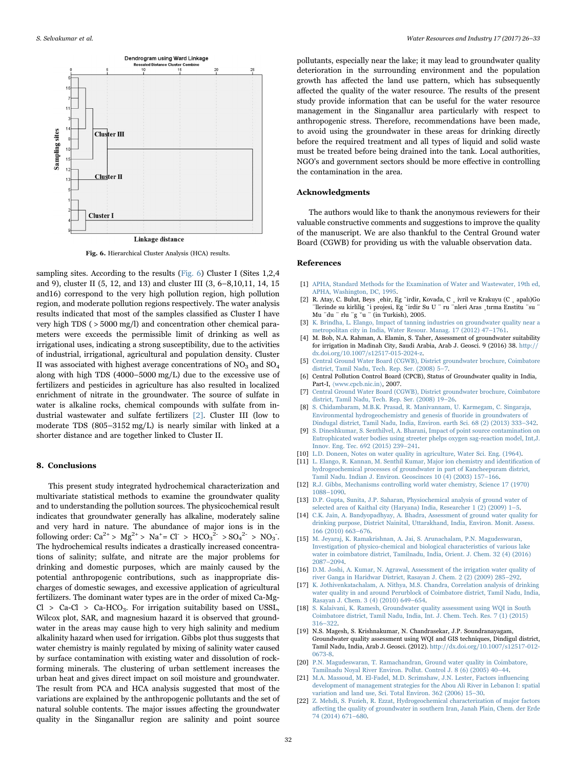<span id="page-6-16"></span>

Fig. 6. Hierarchical Cluster Analysis (HCA) results.

sampling sites. According to the results ([Fig. 6\)](#page-6-16) Cluster I (Sites 1,2,4 and 9), cluster II (5, 12, and 13) and cluster III (3, 6–8,10,11, 14, 15 and16) correspond to the very high pollution region, high pollution region, and moderate pollution regions respectively. The water analysis results indicated that most of the samples classified as Cluster I have very high TDS ( > 5000 mg/l) and concentration other chemical parameters were exceeds the permissible limit of drinking as well as irrigational uses, indicating a strong susceptibility, due to the activities of industrial, irrigational, agricultural and population density. Cluster II was associated with highest average concentrations of  $NO<sub>3</sub>$  and  $SO<sub>4</sub>$ along with high TDS (4000–5000 mg/L) due to the excessive use of fertilizers and pesticides in agriculture has also resulted in localized enrichment of nitrate in the groundwater. The source of sulfate in water is alkaline rocks, chemical compounds with sulfate from industrial wastewater and sulfate fertilizers [\[2\].](#page-6-17) Cluster III (low to moderate TDS (805–3152 mg/L) is nearly similar with linked at a shorter distance and are together linked to Cluster II.

#### 8. Conclusions

This present study integrated hydrochemical characterization and multivariate statistical methods to examine the groundwater quality and to understanding the pollution sources. The physicochemical result indicates that groundwater generally has alkaline, moderately saline and very hard in nature. The abundance of major ions is in the following order:  $Ca^{2+} > Mg^{2+} > Na^{+} = Cl^{-} > HCO_3^{2-} > SO_4^{2-} > NO_3$ . The hydrochemical results indicates a drastically increased concentrations of salinity; sulfate, and nitrate are the major problems for drinking and domestic purposes, which are mainly caused by the potential anthropogenic contributions, such as inappropriate discharges of domestic sewages, and excessive application of agricultural fertilizers. The dominant water types are in the order of mixed Ca-Mg- $Cl > Ca-Cl > Ca-HCO<sub>3</sub>$ . For irrigation suitability based on USSL, Wilcox plot, SAR, and magnesium hazard it is observed that groundwater in the areas may cause high to very high salinity and medium alkalinity hazard when used for irrigation. Gibbs plot thus suggests that water chemistry is mainly regulated by mixing of salinity water caused by surface contamination with existing water and dissolution of rockforming minerals. The clustering of urban settlement increases the urban heat and gives direct impact on soil moisture and groundwater. The result from PCA and HCA analysis suggested that most of the variations are explained by the anthropogenic pollutants and the set of natural soluble contents. The major issues affecting the groundwater quality in the Singanallur region are salinity and point source

pollutants, especially near the lake; it may lead to groundwater quality deterioration in the surrounding environment and the population growth has affected the land use pattern, which has subsequently affected the quality of the water resource. The results of the present study provide information that can be useful for the water resource management in the Singanallur area particularly with respect to anthropogenic stress. Therefore, recommendations have been made, to avoid using the groundwater in these areas for drinking directly before the required treatment and all types of liquid and solid waste must be treated before being drained into the tank. Local authorities, NGO's and government sectors should be more effective in controlling the contamination in the area.

### Acknowledgments

The authors would like to thank the anonymous reviewers for their valuable constructive comments and suggestions to improve the quality of the manuscript. We are also thankful to the Central Ground water Board (CGWB) for providing us with the valuable observation data.

#### References

- <span id="page-6-9"></span>[1] [APHA, Standard Methods for the Examination of Water and Wastewater, 19th ed,](http://refhub.elsevier.com/S2212-3717(16)30163-9/sbref1) [APHA, Washington, DC, 1995.](http://refhub.elsevier.com/S2212-3717(16)30163-9/sbref1)
- <span id="page-6-17"></span>[2] R. Atay, C. Bulut, Beys ¸ehir, Eg ˘irdir, Kovada, C ¸ ivril ve Krakuyu (C ¸ apalı)Go ¨llerinde su kirlilig ˘i projesi, Eg ˘irdir Su U ¨ ru ¨nleri Aras ¸tırma Enstitu ¨su ¨ Mu ¨du ¨ rlu ¨g ˘u ¨ (in Turkish), 2005.
- <span id="page-6-2"></span>[3] [K. Brindha, L. Elango, Impact of tanning industries on groundwater quality near a](http://refhub.elsevier.com/S2212-3717(16)30163-9/sbref2) [metropolitan city in India, Water Resour. Manag. 17 \(2012\) 47](http://refhub.elsevier.com/S2212-3717(16)30163-9/sbref2)–1761.
- <span id="page-6-12"></span>[4] M. Bob, N.A. Rahman, A. Elamin, S. Taher, Assessment of groundwater suitability for irrigation in Madinah City, Saudi Arabia, Arab J. Geosci. 9 (2016) 38. [http://](http://dx.doi.org/10.1007/s12517-015-2024-z) [dx.doi.org/10.1007/s12517-015-2024-z.](http://dx.doi.org/10.1007/s12517-015-2024-z)
- <span id="page-6-10"></span>[5] [Central Ground Water Board \(CGWB\), District groundwater brochure, Coimbatore](http://refhub.elsevier.com/S2212-3717(16)30163-9/sbref4) [district, Tamil Nadu, Tech. Rep. Ser. \(2008\) 5](http://refhub.elsevier.com/S2212-3717(16)30163-9/sbref4)-7.
- <span id="page-6-3"></span>[6] Central Pollution Control Board (CPCB), Status of Groundwater quality in India, Part-I,  $\langle$ [www.cpcb.nic.in](http://www.cpcb.nic.in) $\rangle$ , 2007.
- <span id="page-6-8"></span>[7] [Central Ground Water Board \(CGWB\), District groundwater brochure, Coimbatore](http://refhub.elsevier.com/S2212-3717(16)30163-9/sbref5) [district, Tamil Nadu, Tech. Rep. Ser. \(2008\) 19](http://refhub.elsevier.com/S2212-3717(16)30163-9/sbref5)–26.
- <span id="page-6-14"></span>[8] [S. Chidambaram, M.B.K. Prasad, R. Manivannam, U. Karmegam, C. Singaraja,](http://refhub.elsevier.com/S2212-3717(16)30163-9/sbref6) [Environmental hydrogeochemistry and genesis of](http://refhub.elsevier.com/S2212-3717(16)30163-9/sbref6) fluoride in groundwaters of [Dindugal district, Tamil Nadu, India, Environ. earth Sci. 68 \(2\) \(2013\) 333](http://refhub.elsevier.com/S2212-3717(16)30163-9/sbref6)–342.
- <span id="page-6-6"></span>[9] [S. Dineshkumar, S. Senthilvel, A. Bharani, Impact of point source contamination on](http://refhub.elsevier.com/S2212-3717(16)30163-9/sbref7) [Eutrophicated water bodies using streeter phelps oxygen sag-reaction model, Int,J.](http://refhub.elsevier.com/S2212-3717(16)30163-9/sbref7) [Innov. Eng. Tec. 692 \(2015\) 239](http://refhub.elsevier.com/S2212-3717(16)30163-9/sbref7)–241.
- <span id="page-6-13"></span>[10] [L.D. Doneen, Notes on water quality in agriculture, Water Sci. Eng. \(1964\).](http://refhub.elsevier.com/S2212-3717(16)30163-9/sbref8)
- <span id="page-6-15"></span>[11] [L. Elango, R. Kannan, M. Senthil Kumar, Major ion chemistry and identi](http://refhub.elsevier.com/S2212-3717(16)30163-9/sbref9)fication of [hydrogeochemical processes of groundwater in part of Kancheepuram district,](http://refhub.elsevier.com/S2212-3717(16)30163-9/sbref9) [Tamil Nadu. Indian J. Environ. Geoscinces 10 \(4\) \(2003\) 157](http://refhub.elsevier.com/S2212-3717(16)30163-9/sbref9)–166.
- <span id="page-6-11"></span>[12] [R.J. Gibbs, Mechanisms controlling world water chemistry, Science 17 \(1970\)](http://refhub.elsevier.com/S2212-3717(16)30163-9/sbref10) 1088–[1090.](http://refhub.elsevier.com/S2212-3717(16)30163-9/sbref10)
- <span id="page-6-0"></span>[13] [D.P. Gupta, Sunita, J.P. Saharan, Physiochemical analysis of ground water of](http://refhub.elsevier.com/S2212-3717(16)30163-9/sbref11) [selected area of Kaithal city \(Haryana\) India, Researcher 1 \(2\) \(2009\) 1](http://refhub.elsevier.com/S2212-3717(16)30163-9/sbref11)–5.
- [14] [C.K. Jain, A. Bandyopadhyay, A. Bhadra, Assessment of ground water quality for](http://refhub.elsevier.com/S2212-3717(16)30163-9/sbref12) drinking purpose, District Nainital, Uttarakhand, India, Environ, Monit. Asses. [166 \(2010\) 663](http://refhub.elsevier.com/S2212-3717(16)30163-9/sbref12)–676.
- <span id="page-6-7"></span>[15] [M. Jeyaraj, K. Ramakrishnan, A. Jai, S. Arunachalam, P.N. Magudeswaran,](http://refhub.elsevier.com/S2212-3717(16)30163-9/sbref13) [Investigation of physico-chemical and biological characteristics of various lake](http://refhub.elsevier.com/S2212-3717(16)30163-9/sbref13) [water in coimbatore district, Tamilnadu, India, Orient. J. Chem. 32 \(4\) \(2016\)](http://refhub.elsevier.com/S2212-3717(16)30163-9/sbref13) 2087–[2094.](http://refhub.elsevier.com/S2212-3717(16)30163-9/sbref13)
- [16] D.M. [Joshi, A. Kumar, N. Agrawal, Assessment of the irrigation water quality of](http://refhub.elsevier.com/S2212-3717(16)30163-9/sbref14) [river Ganga in Haridwar District, Rasayan J. Chem. 2 \(2\) \(2009\) 285](http://refhub.elsevier.com/S2212-3717(16)30163-9/sbref14)–292.
- <span id="page-6-5"></span>[17] [K. Jothivenkatachalam, A. Nithya, M.S. Chandra, Correlation analysis of drinking](http://refhub.elsevier.com/S2212-3717(16)30163-9/sbref15) [water quality in and around Perurblock of Coimbatore district, Tamil Nadu, India,](http://refhub.elsevier.com/S2212-3717(16)30163-9/sbref15) [Rasayan J. Chem. 3 \(4\) \(2010\) 649](http://refhub.elsevier.com/S2212-3717(16)30163-9/sbref15)–654.
- [18] [S. Kalaivani, K. Ramesh, Groundwater quality assessment using WQI in South](http://refhub.elsevier.com/S2212-3717(16)30163-9/sbref16) [Coimbatore district, Tamil Nadu, India, Int. J. Chem. Tech. Res. 7 \(1\) \(2015\)](http://refhub.elsevier.com/S2212-3717(16)30163-9/sbref16) 316–[322.](http://refhub.elsevier.com/S2212-3717(16)30163-9/sbref16)
- [19] N.S. Magesh, S. Krishnakumar, N. Chandrasekar, J.P. Soundranayagam, Groundwater quality assessment using WQI and GIS techniques, Dindigul district, Tamil Nadu, India, Arab J. Geosci. (2012). [http://dx.doi.org/10.1007/s12517-012-](http://dx.doi.org/10.1007/s12517-012-0673-8) [0673-8.](http://dx.doi.org/10.1007/s12517-012-0673-8)
- <span id="page-6-4"></span>[20] [P.N. Magudeswaran, T. Ramachandran, Ground water quality in Coimbatore,](http://refhub.elsevier.com/S2212-3717(16)30163-9/sbref18) [Tamilnadu Noyal River Environ. Pollut. Control J. 8 \(6\) \(2005\) 40](http://refhub.elsevier.com/S2212-3717(16)30163-9/sbref18)–44.
- <span id="page-6-1"></span>[21] [M.A. Massoud, M. El-Fadel, M.D. Scrimshaw, J.N. Lester, Factors in](http://refhub.elsevier.com/S2212-3717(16)30163-9/sbref19)fluencing [development of management strategies for the Abou Ali River in Lebanon I: spatial](http://refhub.elsevier.com/S2212-3717(16)30163-9/sbref19) [variation and land use, Sci. Total Environ. 362 \(2006\) 15](http://refhub.elsevier.com/S2212-3717(16)30163-9/sbref19)–30.
- [22] [Z. Mehdi, S. Fuzieh, R. Ezzat, Hydrogeochemical characterization of major factors](http://refhub.elsevier.com/S2212-3717(16)30163-9/sbref20) aff[ecting the quality of groundwater in southern Iran, Janah Plain, Chem. der Erde](http://refhub.elsevier.com/S2212-3717(16)30163-9/sbref20) [74 \(2014\) 671](http://refhub.elsevier.com/S2212-3717(16)30163-9/sbref20)–680.